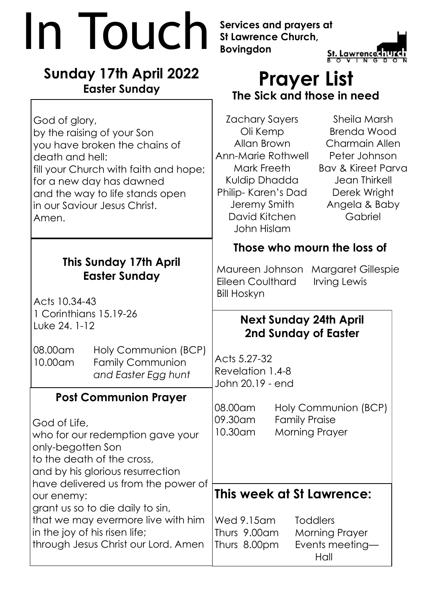|  |                                                                                                                                                                                                                                                                                                                                                                                | In Iouch                                                                                                                              | Services and prayers at<br><b>St Lawrence Church,</b><br><b>Bovingdon</b>                                                                                             |                                               | <b>St. Lawrence</b>                                                                                                                                                 |  |
|--|--------------------------------------------------------------------------------------------------------------------------------------------------------------------------------------------------------------------------------------------------------------------------------------------------------------------------------------------------------------------------------|---------------------------------------------------------------------------------------------------------------------------------------|-----------------------------------------------------------------------------------------------------------------------------------------------------------------------|-----------------------------------------------|---------------------------------------------------------------------------------------------------------------------------------------------------------------------|--|
|  | <b>Sunday 17th April 2022</b><br><b>Easter Sunday</b>                                                                                                                                                                                                                                                                                                                          |                                                                                                                                       | <b>Prayer List</b><br>The Sick and those in need                                                                                                                      |                                               |                                                                                                                                                                     |  |
|  | God of glory,<br>by the raising of your Son<br>death and hell:<br>in our Saviour Jesus Christ.<br>Amen.                                                                                                                                                                                                                                                                        | you have broken the chains of<br>fill your Church with faith and hope;<br>for a new day has dawned<br>and the way to life stands open | Zachary Sayers<br>Oli Kemp<br>Allan Brown<br>Ann-Marie Rothwell<br>Mark Freeth<br>Kuldip Dhadda<br>Philip-Karen's Dad<br>Jeremy Smith<br>David Kitchen<br>John Hislam |                                               | Sheila Marsh<br><b>Brenda Wood</b><br>Charmain Allen<br>Peter Johnson<br><b>Bay &amp; Kireet Parva</b><br>Jean Thirkell<br>Derek Wright<br>Angela & Baby<br>Gabriel |  |
|  | <b>This Sunday 17th April</b><br><b>Easter Sunday</b><br>Acts 10.34-43<br>1 Corinthians 15.19-26<br>Luke 24. 1-12                                                                                                                                                                                                                                                              |                                                                                                                                       | Those who mourn the loss of                                                                                                                                           |                                               |                                                                                                                                                                     |  |
|  |                                                                                                                                                                                                                                                                                                                                                                                |                                                                                                                                       | Maureen Johnson<br><b>Eileen Coulthard</b><br><b>Bill Hoskyn</b>                                                                                                      |                                               | <b>Margaret Gillespie</b><br>Irving Lewis                                                                                                                           |  |
|  |                                                                                                                                                                                                                                                                                                                                                                                |                                                                                                                                       | <b>Next Sunday 24th April</b><br>2nd Sunday of Easter                                                                                                                 |                                               |                                                                                                                                                                     |  |
|  | 08.00am<br>10.00am                                                                                                                                                                                                                                                                                                                                                             | Holy Communion (BCP)<br><b>Family Communion</b><br>and Easter Egg hunt                                                                | Acts 5.27-32<br>Revelation 1.4-8<br>John 20.19 - end                                                                                                                  |                                               |                                                                                                                                                                     |  |
|  | <b>Post Communion Prayer</b><br>God of Life,<br>who for our redemption gave your<br>only-begotten Son<br>to the death of the cross,<br>and by his glorious resurrection<br>have delivered us from the power of<br>our enemy:<br>grant us so to die daily to sin,<br>that we may evermore live with him<br>in the joy of his risen life;<br>through Jesus Christ our Lord. Amen |                                                                                                                                       | 08.00am<br>09.30am<br>10.30am                                                                                                                                         | <b>Family Praise</b><br><b>Morning Prayer</b> | Holy Communion (BCP)                                                                                                                                                |  |
|  |                                                                                                                                                                                                                                                                                                                                                                                |                                                                                                                                       | This week at St Lawrence:                                                                                                                                             |                                               |                                                                                                                                                                     |  |
|  |                                                                                                                                                                                                                                                                                                                                                                                |                                                                                                                                       | Wed 9.15am<br>Thurs 9.00am<br>Thurs 8.00pm                                                                                                                            |                                               | <b>Toddlers</b><br><b>Morning Prayer</b><br>Events meeting-<br>Hall                                                                                                 |  |